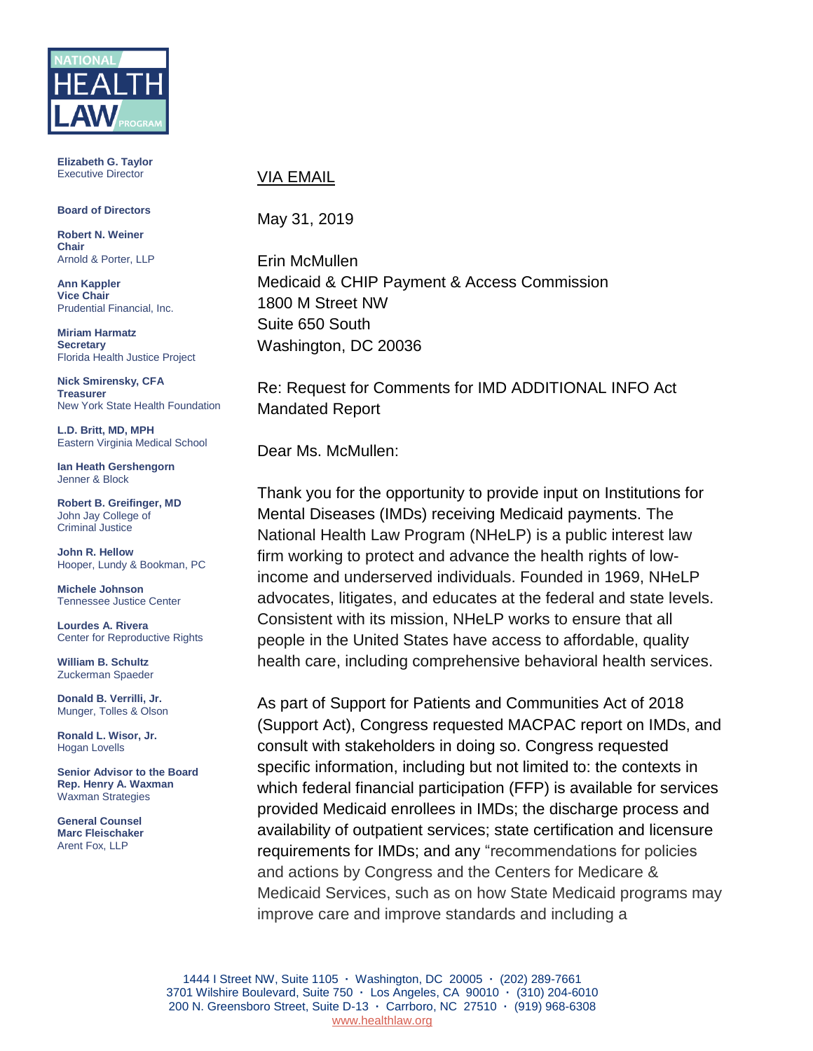

**Elizabeth G. Taylor** Executive Director

#### **Board of Directors**

**Robert N. Weiner Chair** Arnold & Porter, LLP

**Ann Kappler Vice Chair** Prudential Financial, Inc.

**Miriam Harmatz Secretary** Florida Health Justice Project

**Nick Smirensky, CFA Treasurer** New York State Health Foundation

**L.D. Britt, MD, MPH** Eastern Virginia Medical School

**Ian Heath Gershengorn** Jenner & Block

**Robert B. Greifinger, MD** John Jay College of Criminal Justice

**John R. Hellow** Hooper, Lundy & Bookman, PC

**Michele Johnson** Tennessee Justice Center

**Lourdes A. Rivera** Center for Reproductive Rights

**William B. Schultz** Zuckerman Spaeder

**Donald B. Verrilli, Jr.**  Munger, Tolles & Olson

**Ronald L. Wisor, Jr.** Hogan Lovells

**Senior Advisor to the Board Rep. Henry A. Waxman** Waxman Strategies

**General Counsel Marc Fleischaker** Arent Fox, LLP

### VIA EMAIL

May 31, 2019

Erin McMullen Medicaid & CHIP Payment & Access Commission 1800 M Street NW Suite 650 South Washington, DC 20036

Re: Request for Comments for IMD ADDITIONAL INFO Act Mandated Report

Dear Ms. McMullen:

Thank you for the opportunity to provide input on Institutions for Mental Diseases (IMDs) receiving Medicaid payments. The National Health Law Program (NHeLP) is a public interest law firm working to protect and advance the health rights of lowincome and underserved individuals. Founded in 1969, NHeLP advocates, litigates, and educates at the federal and state levels. Consistent with its mission, NHeLP works to ensure that all people in the United States have access to affordable, quality health care, including comprehensive behavioral health services.

As part of Support for Patients and Communities Act of 2018 (Support Act), Congress requested MACPAC report on IMDs, and consult with stakeholders in doing so. Congress requested specific information, including but not limited to: the contexts in which federal financial participation (FFP) is available for services provided Medicaid enrollees in IMDs; the discharge process and availability of outpatient services; state certification and licensure requirements for IMDs; and any "recommendations for policies and actions by Congress and the Centers for Medicare & Medicaid Services, such as on how State Medicaid programs may improve care and improve standards and including a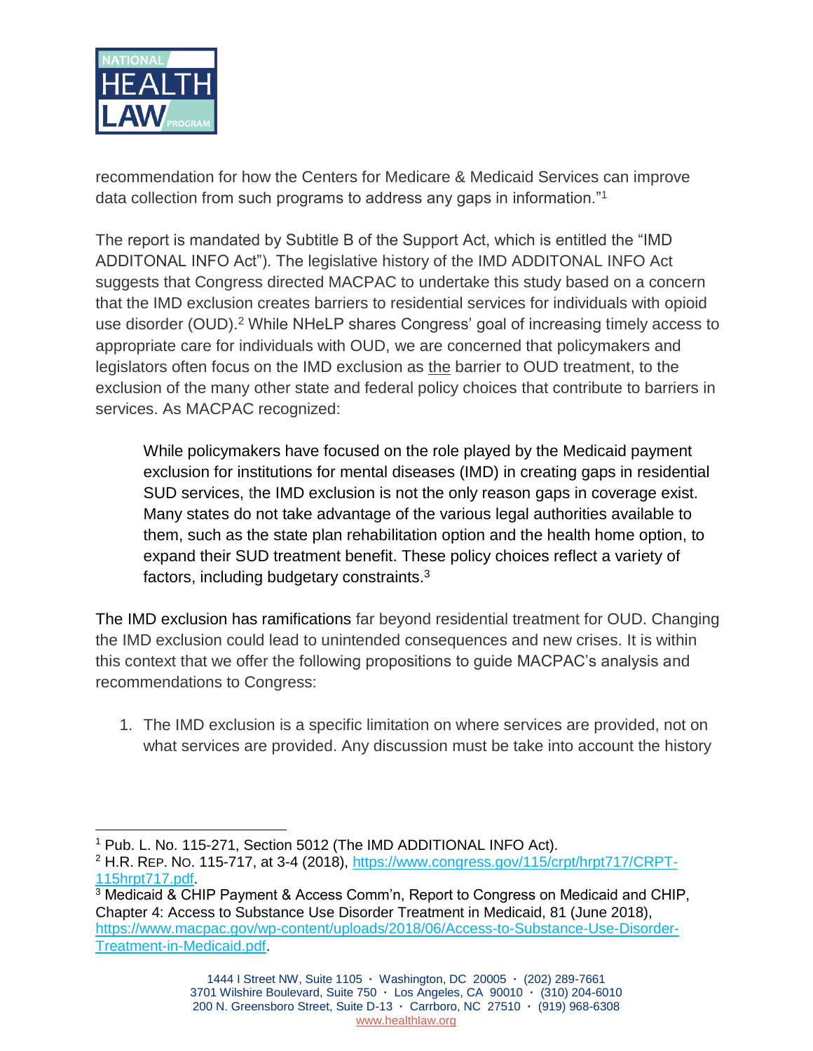

recommendation for how the Centers for Medicare & Medicaid Services can improve data collection from such programs to address any gaps in information."<sup>1</sup>

The report is mandated by Subtitle B of the Support Act, which is entitled the "IMD ADDITONAL INFO Act"). The legislative history of the IMD ADDITONAL INFO Act suggests that Congress directed MACPAC to undertake this study based on a concern that the IMD exclusion creates barriers to residential services for individuals with opioid use disorder (OUD).<sup>2</sup> While NHeLP shares Congress' goal of increasing timely access to appropriate care for individuals with OUD, we are concerned that policymakers and legislators often focus on the IMD exclusion as the barrier to OUD treatment, to the exclusion of the many other state and federal policy choices that contribute to barriers in services. As MACPAC recognized:

While policymakers have focused on the role played by the Medicaid payment exclusion for institutions for mental diseases (IMD) in creating gaps in residential SUD services, the IMD exclusion is not the only reason gaps in coverage exist. Many states do not take advantage of the various legal authorities available to them, such as the state plan rehabilitation option and the health home option, to expand their SUD treatment benefit. These policy choices reflect a variety of factors, including budgetary constraints.<sup>3</sup>

The IMD exclusion has ramifications far beyond residential treatment for OUD. Changing the IMD exclusion could lead to unintended consequences and new crises. It is within this context that we offer the following propositions to guide MACPAC's analysis and recommendations to Congress:

1. The IMD exclusion is a specific limitation on where services are provided, not on what services are provided. Any discussion must be take into account the history

 $\overline{a}$ <sup>1</sup> Pub. L. No. 115-271, Section 5012 (The IMD ADDITIONAL INFO Act).

<sup>&</sup>lt;sup>2</sup> H.R. REP. NO. 115-717, at 3-4 (2018), [https://www.congress.gov/115/crpt/hrpt717/CRPT-](https://www.congress.gov/115/crpt/hrpt717/CRPT-115hrpt717.pdf)[115hrpt717.pdf.](https://www.congress.gov/115/crpt/hrpt717/CRPT-115hrpt717.pdf)

<sup>3</sup> Medicaid & CHIP Payment & Access Comm'n, Report to Congress on Medicaid and CHIP, Chapter 4: Access to Substance Use Disorder Treatment in Medicaid, 81 (June 2018), [https://www.macpac.gov/wp-content/uploads/2018/06/Access-to-Substance-Use-Disorder-](https://www.macpac.gov/wp-content/uploads/2018/06/Access-to-Substance-Use-Disorder-Treatment-in-Medicaid.pdf)[Treatment-in-Medicaid.pdf.](https://www.macpac.gov/wp-content/uploads/2018/06/Access-to-Substance-Use-Disorder-Treatment-in-Medicaid.pdf)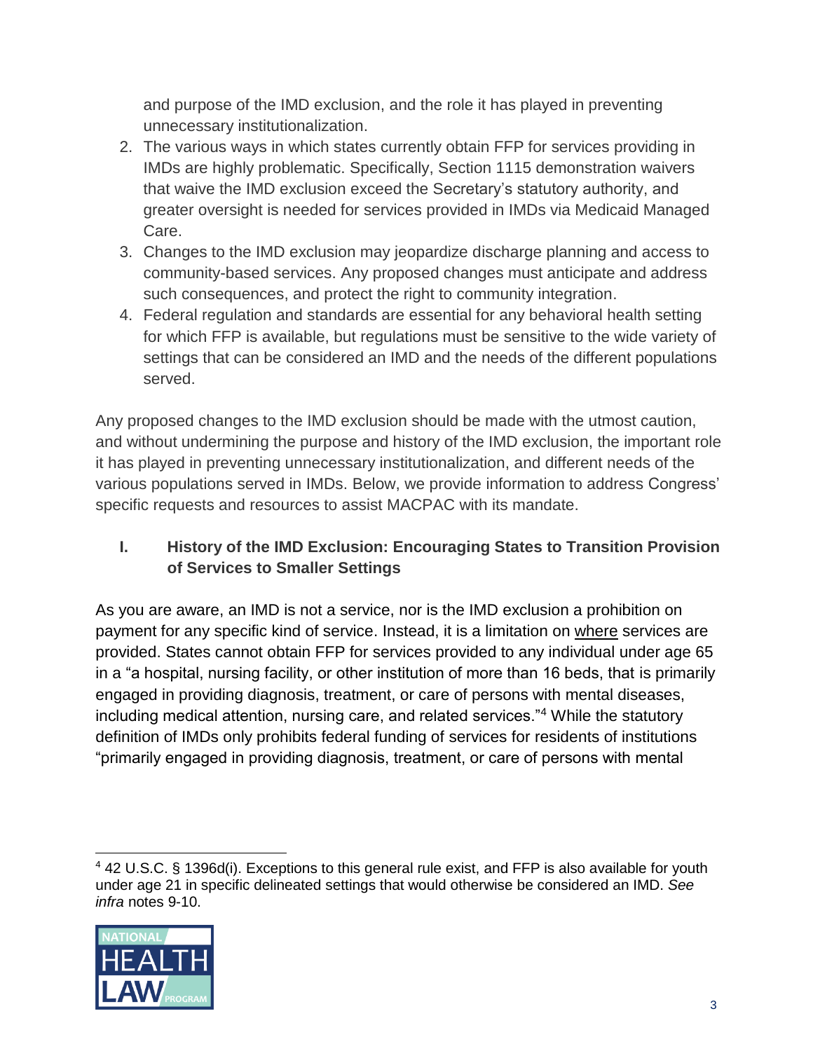and purpose of the IMD exclusion, and the role it has played in preventing unnecessary institutionalization.

- 2. The various ways in which states currently obtain FFP for services providing in IMDs are highly problematic. Specifically, Section 1115 demonstration waivers that waive the IMD exclusion exceed the Secretary's statutory authority, and greater oversight is needed for services provided in IMDs via Medicaid Managed Care.
- 3. Changes to the IMD exclusion may jeopardize discharge planning and access to community-based services. Any proposed changes must anticipate and address such consequences, and protect the right to community integration.
- 4. Federal regulation and standards are essential for any behavioral health setting for which FFP is available, but regulations must be sensitive to the wide variety of settings that can be considered an IMD and the needs of the different populations served.

Any proposed changes to the IMD exclusion should be made with the utmost caution, and without undermining the purpose and history of the IMD exclusion, the important role it has played in preventing unnecessary institutionalization, and different needs of the various populations served in IMDs. Below, we provide information to address Congress' specific requests and resources to assist MACPAC with its mandate.

# **I. History of the IMD Exclusion: Encouraging States to Transition Provision of Services to Smaller Settings**

As you are aware, an IMD is not a service, nor is the IMD exclusion a prohibition on payment for any specific kind of service. Instead, it is a limitation on where services are provided. States cannot obtain FFP for services provided to any individual under age 65 in a "a hospital, nursing facility, or other institution of more than 16 beds, that is primarily engaged in providing diagnosis, treatment, or care of persons with mental diseases, including medical attention, nursing care, and related services."<sup>4</sup> While the statutory definition of IMDs only prohibits federal funding of services for residents of institutions "primarily engaged in providing diagnosis, treatment, or care of persons with mental

 <sup>4</sup> 42 U.S.C. § 1396d(i). Exceptions to this general rule exist, and FFP is also available for youth under age 21 in specific delineated settings that would otherwise be considered an IMD. *See infra* notes 9-10.

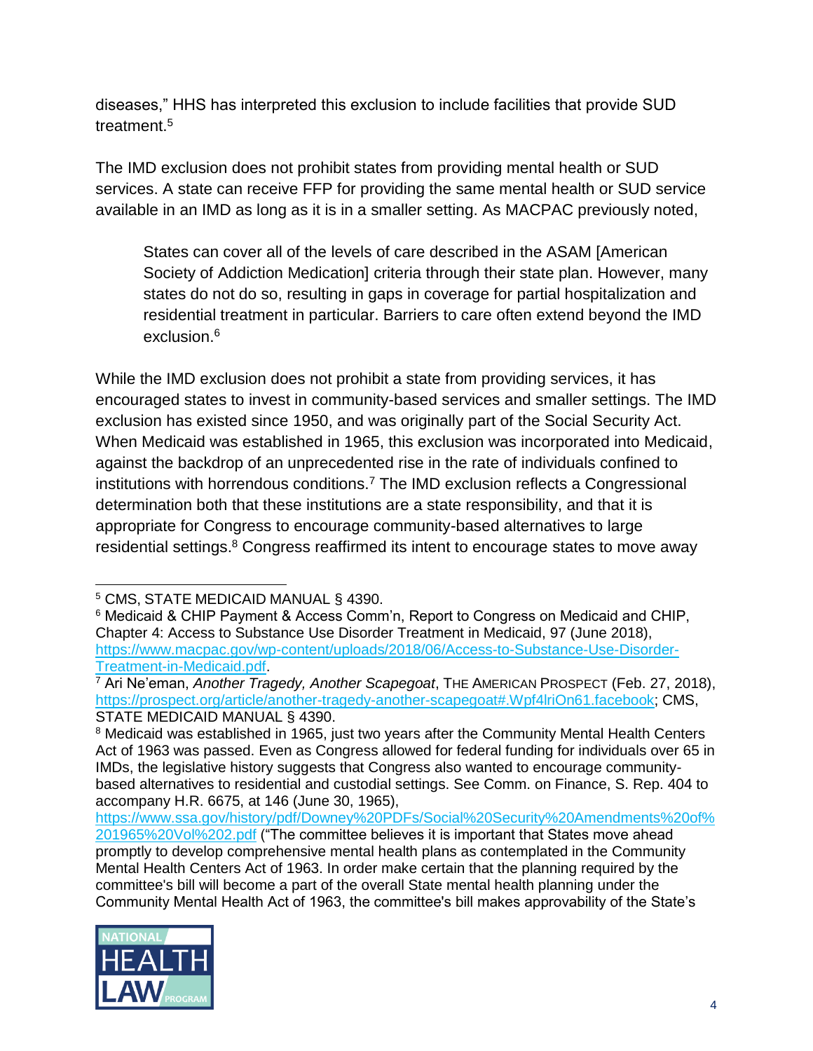diseases," HHS has interpreted this exclusion to include facilities that provide SUD treatment.<sup>5</sup>

The IMD exclusion does not prohibit states from providing mental health or SUD services. A state can receive FFP for providing the same mental health or SUD service available in an IMD as long as it is in a smaller setting. As MACPAC previously noted,

States can cover all of the levels of care described in the ASAM [American Society of Addiction Medication] criteria through their state plan. However, many states do not do so, resulting in gaps in coverage for partial hospitalization and residential treatment in particular. Barriers to care often extend beyond the IMD exclusion.<sup>6</sup>

While the IMD exclusion does not prohibit a state from providing services, it has encouraged states to invest in community-based services and smaller settings. The IMD exclusion has existed since 1950, and was originally part of the Social Security Act. When Medicaid was established in 1965, this exclusion was incorporated into Medicaid, against the backdrop of an unprecedented rise in the rate of individuals confined to institutions with horrendous conditions.<sup>7</sup> The IMD exclusion reflects a Congressional determination both that these institutions are a state responsibility, and that it is appropriate for Congress to encourage community-based alternatives to large residential settings.<sup>8</sup> Congress reaffirmed its intent to encourage states to move away

[https://www.ssa.gov/history/pdf/Downey%20PDFs/Social%20Security%20Amendments%20of%](https://www.ssa.gov/history/pdf/Downey%20PDFs/Social%20Security%20Amendments%20of%201965%20Vol%202.pdf) [201965%20Vol%202.pdf](https://www.ssa.gov/history/pdf/Downey%20PDFs/Social%20Security%20Amendments%20of%201965%20Vol%202.pdf) ("The committee believes it is important that States move ahead promptly to develop comprehensive mental health plans as contemplated in the Community Mental Health Centers Act of 1963. In order make certain that the planning required by the committee's bill will become a part of the overall State mental health planning under the Community Mental Health Act of 1963, the committee's bill makes approvability of the State's



 <sup>5</sup> CMS, STATE MEDICAID MANUAL § 4390.

<sup>6</sup> Medicaid & CHIP Payment & Access Comm'n, Report to Congress on Medicaid and CHIP, Chapter 4: Access to Substance Use Disorder Treatment in Medicaid, 97 (June 2018), [https://www.macpac.gov/wp-content/uploads/2018/06/Access-to-Substance-Use-Disorder-](https://www.macpac.gov/wp-content/uploads/2018/06/Access-to-Substance-Use-Disorder-Treatment-in-Medicaid.pdf)[Treatment-in-Medicaid.pdf.](https://www.macpac.gov/wp-content/uploads/2018/06/Access-to-Substance-Use-Disorder-Treatment-in-Medicaid.pdf)

<sup>7</sup> Ari Ne'eman, *Another Tragedy, Another Scapegoat*, THE AMERICAN PROSPECT (Feb. 27, 2018), [https://prospect.org/article/another-tragedy-another-scapegoat#.Wpf4lriOn61.facebook;](https://prospect.org/article/another-tragedy-another-scapegoat#.Wpf4lriOn61.facebook) CMS, STATE MEDICAID MANUAL § 4390.

<sup>&</sup>lt;sup>8</sup> Medicaid was established in 1965, just two years after the Community Mental Health Centers Act of 1963 was passed. Even as Congress allowed for federal funding for individuals over 65 in IMDs, the legislative history suggests that Congress also wanted to encourage communitybased alternatives to residential and custodial settings. See Comm. on Finance, S. Rep. 404 to accompany H.R. 6675, at 146 (June 30, 1965),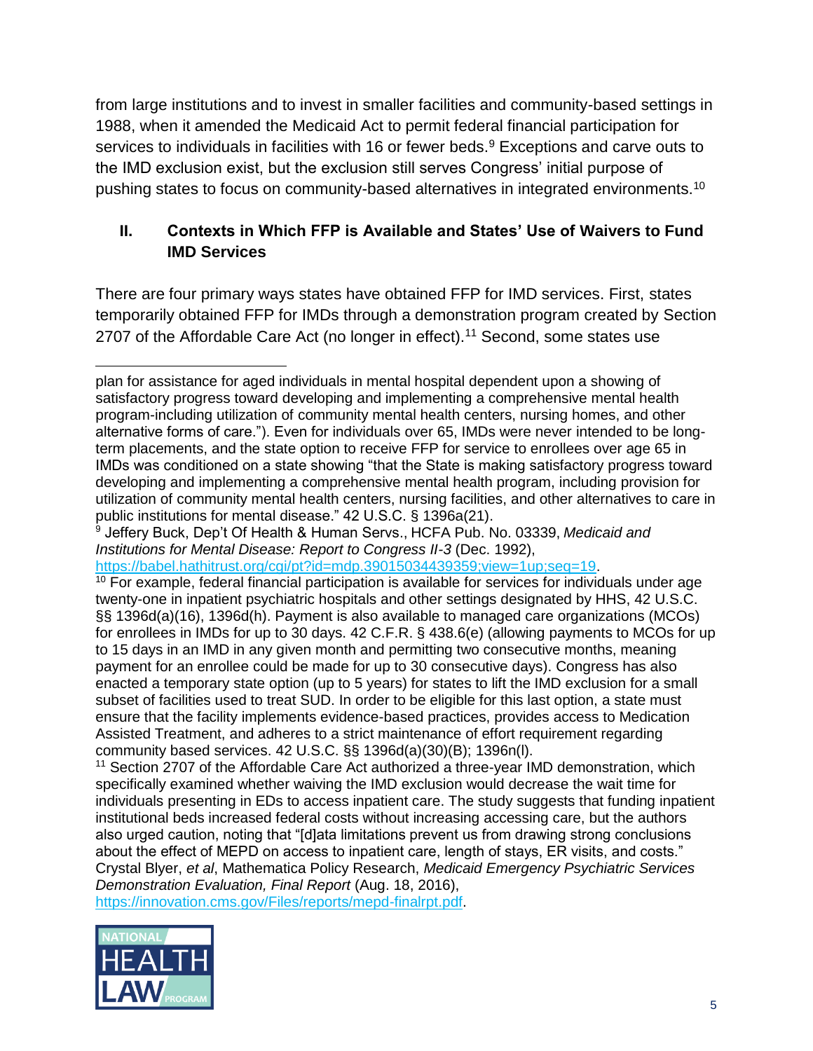from large institutions and to invest in smaller facilities and community-based settings in 1988, when it amended the Medicaid Act to permit federal financial participation for services to individuals in facilities with 16 or fewer beds.<sup>9</sup> Exceptions and carve outs to the IMD exclusion exist, but the exclusion still serves Congress' initial purpose of pushing states to focus on community-based alternatives in integrated environments.<sup>10</sup>

# **II. Contexts in Which FFP is Available and States' Use of Waivers to Fund IMD Services**

There are four primary ways states have obtained FFP for IMD services. First, states temporarily obtained FFP for IMDs through a demonstration program created by Section 2707 of the Affordable Care Act (no longer in effect).<sup>11</sup> Second, some states use

[https://babel.hathitrust.org/cgi/pt?id=mdp.39015034439359;view=1up;seq=19.](https://babel.hathitrust.org/cgi/pt?id=mdp.39015034439359;view=1up;seq=19)

<sup>10</sup> For example, federal financial participation is available for services for individuals under age twenty-one in inpatient psychiatric hospitals and other settings designated by HHS, 42 U.S.C. §§ 1396d(a)(16), 1396d(h). Payment is also available to managed care organizations (MCOs) for enrollees in IMDs for up to 30 days. 42 C.F.R. § 438.6(e) (allowing payments to MCOs for up to 15 days in an IMD in any given month and permitting two consecutive months, meaning payment for an enrollee could be made for up to 30 consecutive days). Congress has also enacted a temporary state option (up to 5 years) for states to lift the IMD exclusion for a small subset of facilities used to treat SUD. In order to be eligible for this last option, a state must ensure that the facility implements evidence-based practices, provides access to Medication Assisted Treatment, and adheres to a strict maintenance of effort requirement regarding community based services. 42 U.S.C. §§ 1396d(a)(30)(B); 1396n(l).

<sup>11</sup> Section 2707 of the Affordable Care Act authorized a three-year IMD demonstration, which specifically examined whether waiving the IMD exclusion would decrease the wait time for individuals presenting in EDs to access inpatient care. The study suggests that funding inpatient institutional beds increased federal costs without increasing accessing care, but the authors also urged caution, noting that "[d]ata limitations prevent us from drawing strong conclusions about the effect of MEPD on access to inpatient care, length of stays, ER visits, and costs." Crystal Blyer, *et al*, Mathematica Policy Research, *Medicaid Emergency Psychiatric Services Demonstration Evaluation, Final Report* (Aug. 18, 2016),

[https://innovation.cms.gov/Files/reports/mepd-finalrpt.pdf.](https://innovation.cms.gov/Files/reports/mepd-finalrpt.pdf)



 $\overline{a}$ plan for assistance for aged individuals in mental hospital dependent upon a showing of satisfactory progress toward developing and implementing a comprehensive mental health program-including utilization of community mental health centers, nursing homes, and other alternative forms of care."). Even for individuals over 65, IMDs were never intended to be longterm placements, and the state option to receive FFP for service to enrollees over age 65 in IMDs was conditioned on a state showing "that the State is making satisfactory progress toward developing and implementing a comprehensive mental health program, including provision for utilization of community mental health centers, nursing facilities, and other alternatives to care in public institutions for mental disease." 42 U.S.C. § 1396a(21).

<sup>9</sup> Jeffery Buck, Dep't Of Health & Human Servs., HCFA Pub. No. 03339, *Medicaid and Institutions for Mental Disease: Report to Congress II-3* (Dec. 1992),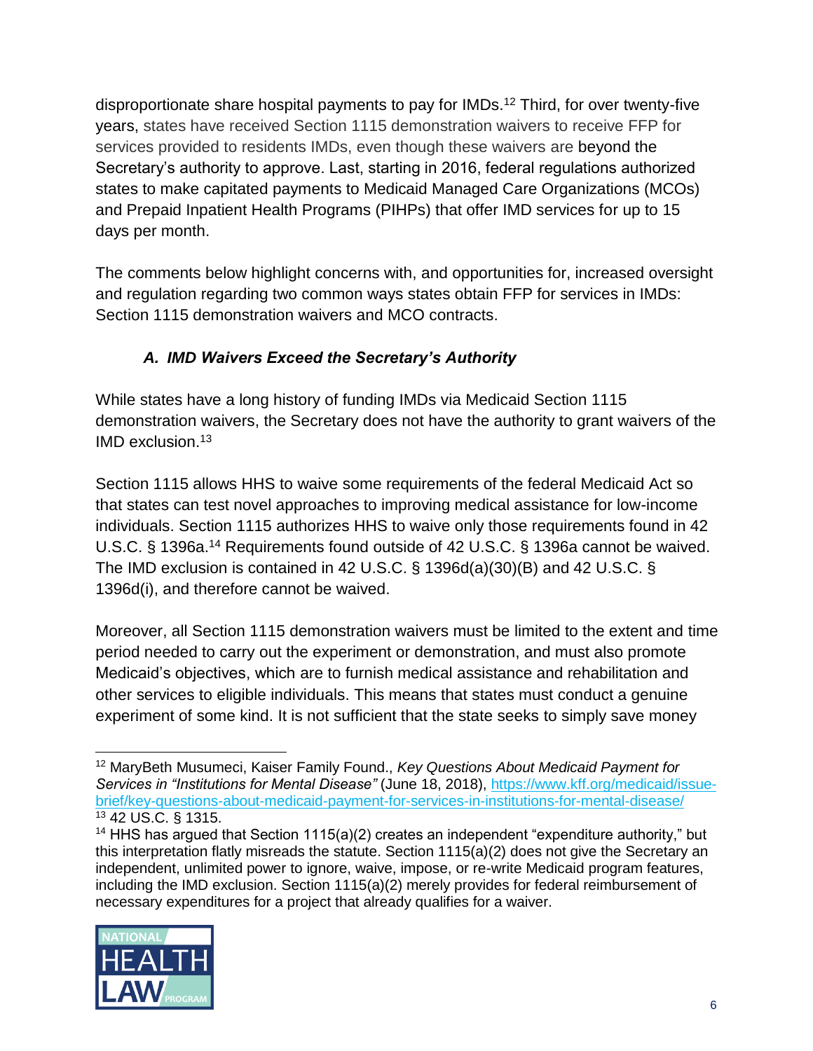disproportionate share hospital payments to pay for IMDs.<sup>12</sup> Third, for over twenty-five years, states have received Section 1115 demonstration waivers to receive FFP for services provided to residents IMDs, even though these waivers are beyond the Secretary's authority to approve. Last, starting in 2016, federal regulations authorized states to make capitated payments to Medicaid Managed Care Organizations (MCOs) and Prepaid Inpatient Health Programs (PIHPs) that offer IMD services for up to 15 days per month.

The comments below highlight concerns with, and opportunities for, increased oversight and regulation regarding two common ways states obtain FFP for services in IMDs: Section 1115 demonstration waivers and MCO contracts.

# *A. IMD Waivers Exceed the Secretary's Authority*

While states have a long history of funding IMDs via Medicaid Section 1115 demonstration waivers, the Secretary does not have the authority to grant waivers of the IMD exclusion.<sup>13</sup>

Section 1115 allows HHS to waive some requirements of the federal Medicaid Act so that states can test novel approaches to improving medical assistance for low-income individuals. Section 1115 authorizes HHS to waive only those requirements found in 42 U.S.C. § 1396a.<sup>14</sup> Requirements found outside of 42 U.S.C. § 1396a cannot be waived. The IMD exclusion is contained in 42 U.S.C. § 1396d(a)(30)(B) and 42 U.S.C. § 1396d(i), and therefore cannot be waived.

Moreover, all Section 1115 demonstration waivers must be limited to the extent and time period needed to carry out the experiment or demonstration, and must also promote Medicaid's objectives, which are to furnish medical assistance and rehabilitation and other services to eligible individuals. This means that states must conduct a genuine experiment of some kind. It is not sufficient that the state seeks to simply save money

<sup>&</sup>lt;sup>14</sup> HHS has argued that Section 1115(a)(2) creates an independent "expenditure authority," but this interpretation flatly misreads the statute. Section 1115(a)(2) does not give the Secretary an independent, unlimited power to ignore, waive, impose, or re-write Medicaid program features, including the IMD exclusion. Section 1115(a)(2) merely provides for federal reimbursement of necessary expenditures for a project that already qualifies for a waiver.



 $\overline{a}$ <sup>12</sup> MaryBeth Musumeci, Kaiser Family Found., *Key Questions About Medicaid Payment for Services in "Institutions for Mental Disease"* (June 18, 2018), [https://www.kff.org/medicaid/issue](https://www.kff.org/medicaid/issue-brief/key-questions-about-medicaid-payment-for-services-in-institutions-for-mental-disease/)[brief/key-questions-about-medicaid-payment-for-services-in-institutions-for-mental-disease/](https://www.kff.org/medicaid/issue-brief/key-questions-about-medicaid-payment-for-services-in-institutions-for-mental-disease/) <sup>13</sup> 42 US.C. § 1315.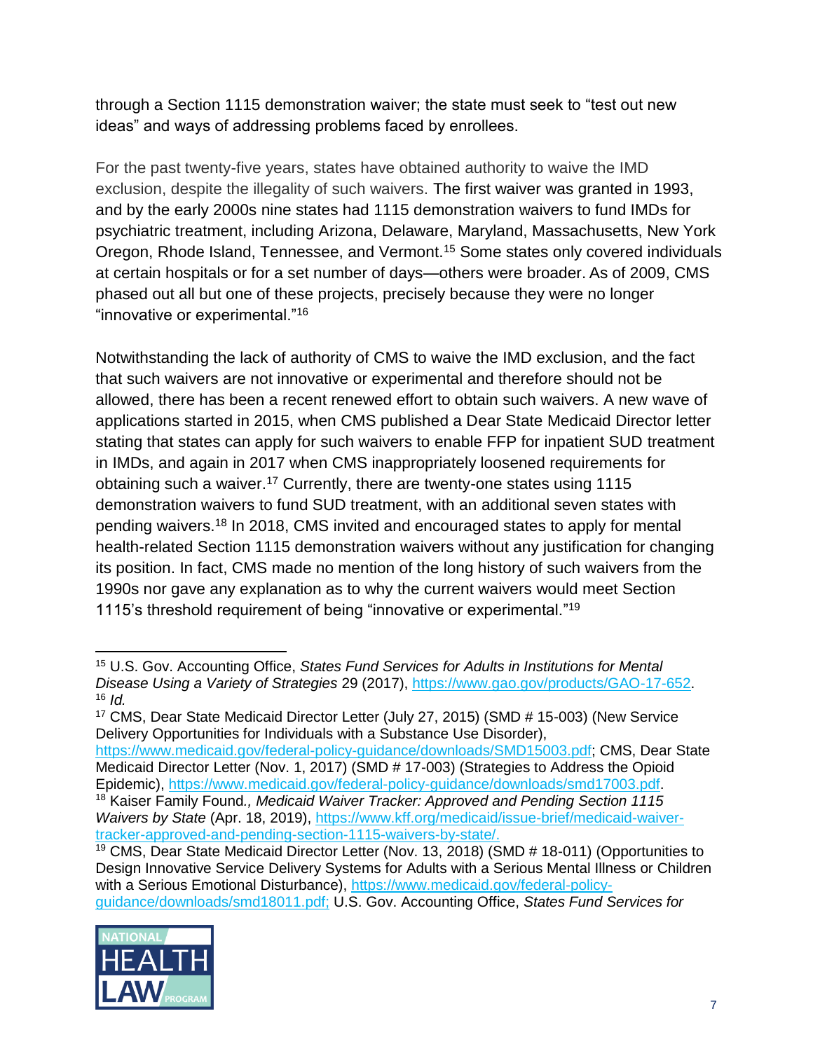through a Section 1115 demonstration waiver; the state must seek to "test out new ideas" and ways of addressing problems faced by enrollees.

For the past twenty-five years, states have obtained authority to waive the IMD exclusion, despite the illegality of such waivers. The first waiver was granted in 1993, and by the early 2000s nine states had 1115 demonstration waivers to fund IMDs for psychiatric treatment, including Arizona, Delaware, Maryland, Massachusetts, New York Oregon, Rhode Island, Tennessee, and Vermont.<sup>15</sup> Some states only covered individuals at certain hospitals or for a set number of days—others were broader. As of 2009, CMS phased out all but one of these projects, precisely because they were no longer "innovative or experimental."<sup>16</sup>

Notwithstanding the lack of authority of CMS to waive the IMD exclusion, and the fact that such waivers are not innovative or experimental and therefore should not be allowed, there has been a recent renewed effort to obtain such waivers. A new wave of applications started in 2015, when CMS published a Dear State Medicaid Director letter stating that states can apply for such waivers to enable FFP for inpatient SUD treatment in IMDs, and again in 2017 when CMS inappropriately loosened requirements for obtaining such a waiver.<sup>17</sup> Currently, there are twenty-one states using 1115 demonstration waivers to fund SUD treatment, with an additional seven states with pending waivers.<sup>18</sup> In 2018, CMS invited and encouraged states to apply for mental health-related Section 1115 demonstration waivers without any justification for changing its position. In fact, CMS made no mention of the long history of such waivers from the 1990s nor gave any explanation as to why the current waivers would meet Section 1115's threshold requirement of being "innovative or experimental."<sup>19</sup>

[https://www.medicaid.gov/federal-policy-guidance/downloads/SMD15003.pdf;](https://www.medicaid.gov/federal-policy-guidance/downloads/SMD15003.pdf) CMS, Dear State Medicaid Director Letter (Nov. 1, 2017) (SMD # 17-003) (Strategies to Address the Opioid Epidemic), [https://www.medicaid.gov/federal-policy-guidance/downloads/smd17003.pdf.](https://www.medicaid.gov/federal-policy-guidance/downloads/smd17003.pdf) <sup>18</sup> Kaiser Family Found*., Medicaid Waiver Tracker: Approved and Pending Section 1115 Waivers by State* (Apr. 18, 2019), [https://www.kff.org/medicaid/issue-brief/medicaid-waiver](https://www.kff.org/medicaid/issue-brief/medicaid-waiver-tracker-approved-and-pending-section-1115-waivers-by-state/)[tracker-approved-and-pending-section-1115-waivers-by-state/.](https://www.kff.org/medicaid/issue-brief/medicaid-waiver-tracker-approved-and-pending-section-1115-waivers-by-state/)

 $19$  CMS, Dear State Medicaid Director Letter (Nov. 13, 2018) (SMD  $#$  18-011) (Opportunities to Design Innovative Service Delivery Systems for Adults with a Serious Mental Illness or Children with a Serious Emotional Disturbance), [https://www.medicaid.gov/federal-policy](https://www.medicaid.gov/federal-policy-guidance/downloads/smd18011.pdf)[guidance/downloads/smd18011.pdf;](https://www.medicaid.gov/federal-policy-guidance/downloads/smd18011.pdf) U.S. Gov. Accounting Office, *States Fund Services for* 



 <sup>15</sup> U.S. Gov. Accounting Office, *States Fund Services for Adults in Institutions for Mental Disease Using a Variety of Strategies* 29 (2017), [https://www.gao.gov/products/GAO-17-652.](https://www.gao.gov/products/GAO-17-652) <sup>16</sup> *Id.*

<sup>17</sup> CMS, Dear State Medicaid Director Letter (July 27, 2015) (SMD # 15-003) (New Service Delivery Opportunities for Individuals with a Substance Use Disorder),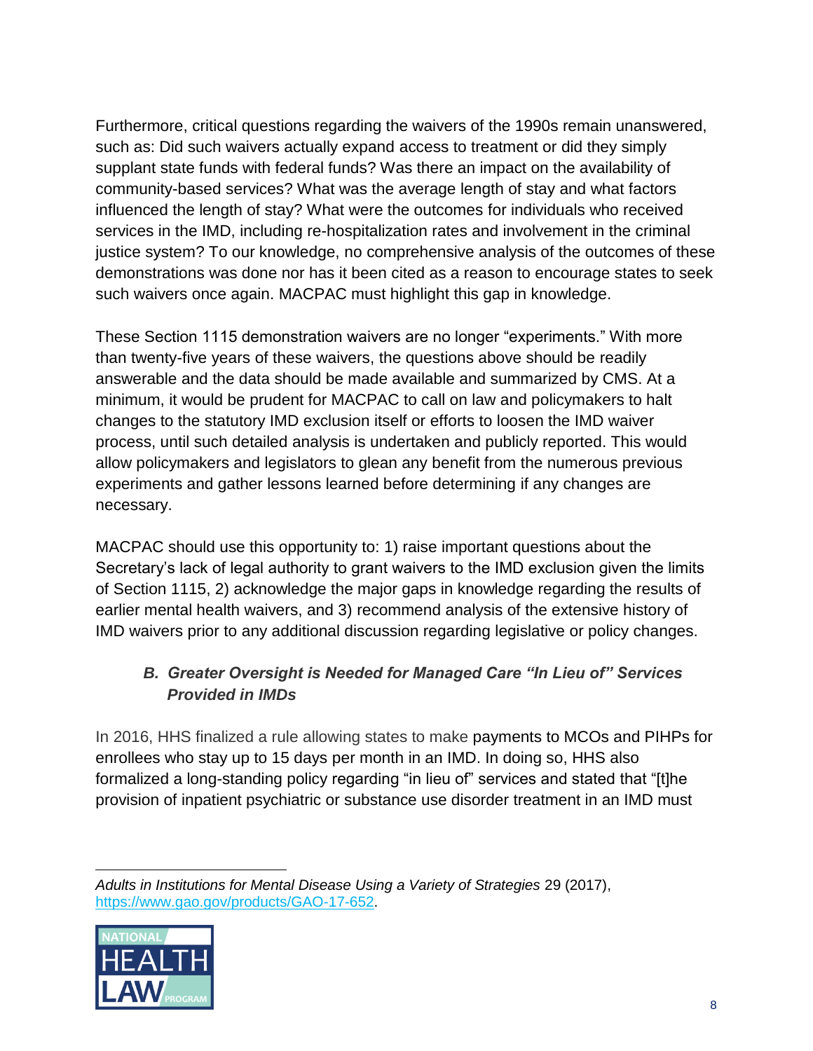Furthermore, critical questions regarding the waivers of the 1990s remain unanswered, such as: Did such waivers actually expand access to treatment or did they simply supplant state funds with federal funds? Was there an impact on the availability of community-based services? What was the average length of stay and what factors influenced the length of stay? What were the outcomes for individuals who received services in the IMD, including re-hospitalization rates and involvement in the criminal justice system? To our knowledge, no comprehensive analysis of the outcomes of these demonstrations was done nor has it been cited as a reason to encourage states to seek such waivers once again. MACPAC must highlight this gap in knowledge.

These Section 1115 demonstration waivers are no longer "experiments." With more than twenty-five years of these waivers, the questions above should be readily answerable and the data should be made available and summarized by CMS. At a minimum, it would be prudent for MACPAC to call on law and policymakers to halt changes to the statutory IMD exclusion itself or efforts to loosen the IMD waiver process, until such detailed analysis is undertaken and publicly reported. This would allow policymakers and legislators to glean any benefit from the numerous previous experiments and gather lessons learned before determining if any changes are necessary.

MACPAC should use this opportunity to: 1) raise important questions about the Secretary's lack of legal authority to grant waivers to the IMD exclusion given the limits of Section 1115, 2) acknowledge the major gaps in knowledge regarding the results of earlier mental health waivers, and 3) recommend analysis of the extensive history of IMD waivers prior to any additional discussion regarding legislative or policy changes.

# *B. Greater Oversight is Needed for Managed Care "In Lieu of" Services Provided in IMDs*

In 2016, HHS finalized a rule allowing states to make payments to MCOs and PIHPs for enrollees who stay up to 15 days per month in an IMD. In doing so, HHS also formalized a long-standing policy regarding "in lieu of" services and stated that "[t]he provision of inpatient psychiatric or substance use disorder treatment in an IMD must

 $\overline{a}$ *Adults in Institutions for Mental Disease Using a Variety of Strategies* 29 (2017), [https://www.gao.gov/products/GAO-17-652.](https://www.gao.gov/products/GAO-17-652)

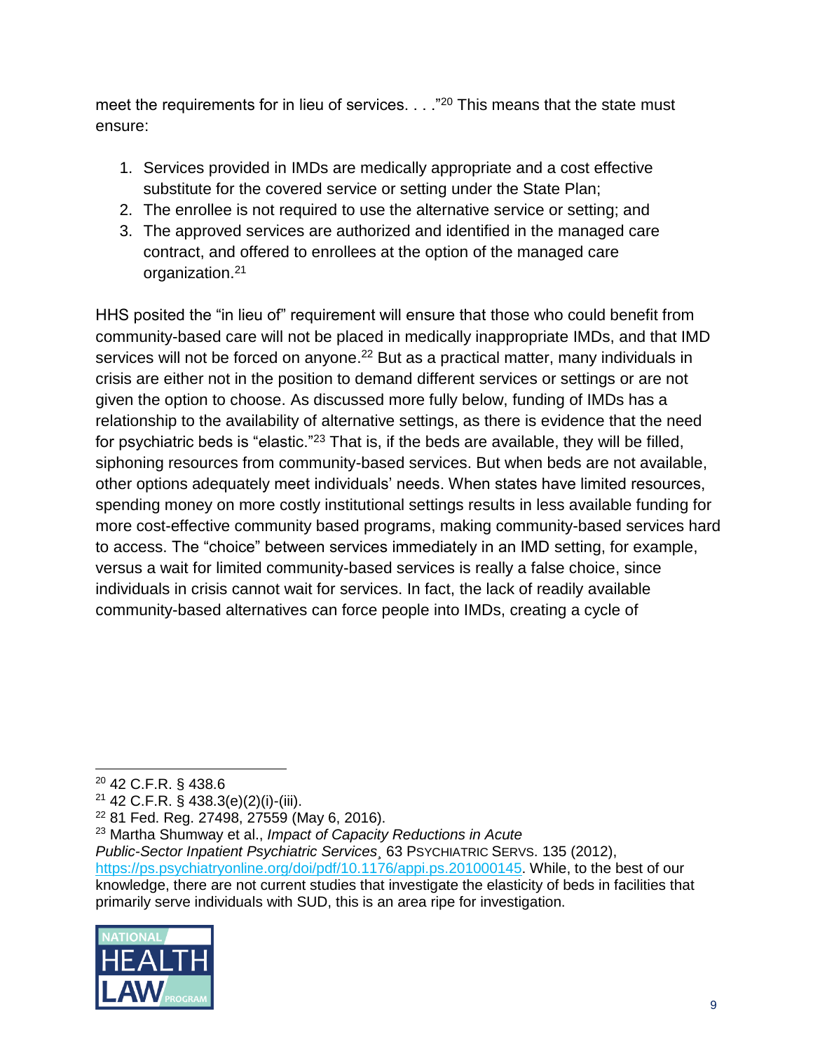meet the requirements for in lieu of services. . . . "<sup>20</sup> This means that the state must ensure:

- 1. Services provided in IMDs are medically appropriate and a cost effective substitute for the covered service or setting under the State Plan;
- 2. The enrollee is not required to use the alternative service or setting; and
- 3. The approved services are authorized and identified in the managed care contract, and offered to enrollees at the option of the managed care organization.<sup>21</sup>

HHS posited the "in lieu of" requirement will ensure that those who could benefit from community-based care will not be placed in medically inappropriate IMDs, and that IMD services will not be forced on anyone.<sup>22</sup> But as a practical matter, many individuals in crisis are either not in the position to demand different services or settings or are not given the option to choose. As discussed more fully below, funding of IMDs has a relationship to the availability of alternative settings, as there is evidence that the need for psychiatric beds is "elastic."<sup>23</sup> That is, if the beds are available, they will be filled, siphoning resources from community-based services. But when beds are not available, other options adequately meet individuals' needs. When states have limited resources, spending money on more costly institutional settings results in less available funding for more cost-effective community based programs, making community-based services hard to access. The "choice" between services immediately in an IMD setting, for example, versus a wait for limited community-based services is really a false choice, since individuals in crisis cannot wait for services. In fact, the lack of readily available community-based alternatives can force people into IMDs, creating a cycle of

*Public-Sector Inpatient Psychiatric Services¸* 63 PSYCHIATRIC SERVS. 135 (2012), [https://ps.psychiatryonline.org/doi/pdf/10.1176/appi.ps.201000145.](https://ps.psychiatryonline.org/doi/pdf/10.1176/appi.ps.201000145) While, to the best of our

knowledge, there are not current studies that investigate the elasticity of beds in facilities that primarily serve individuals with SUD, this is an area ripe for investigation.



<sup>20</sup> 42 C.F.R. § 438.6

 $21$  42 C.F.R. § 438.3(e)(2)(i)-(iii).

<sup>22</sup> 81 Fed. Reg. 27498, 27559 (May 6, 2016).

<sup>23</sup> Martha Shumway et al., *Impact of Capacity Reductions in Acute*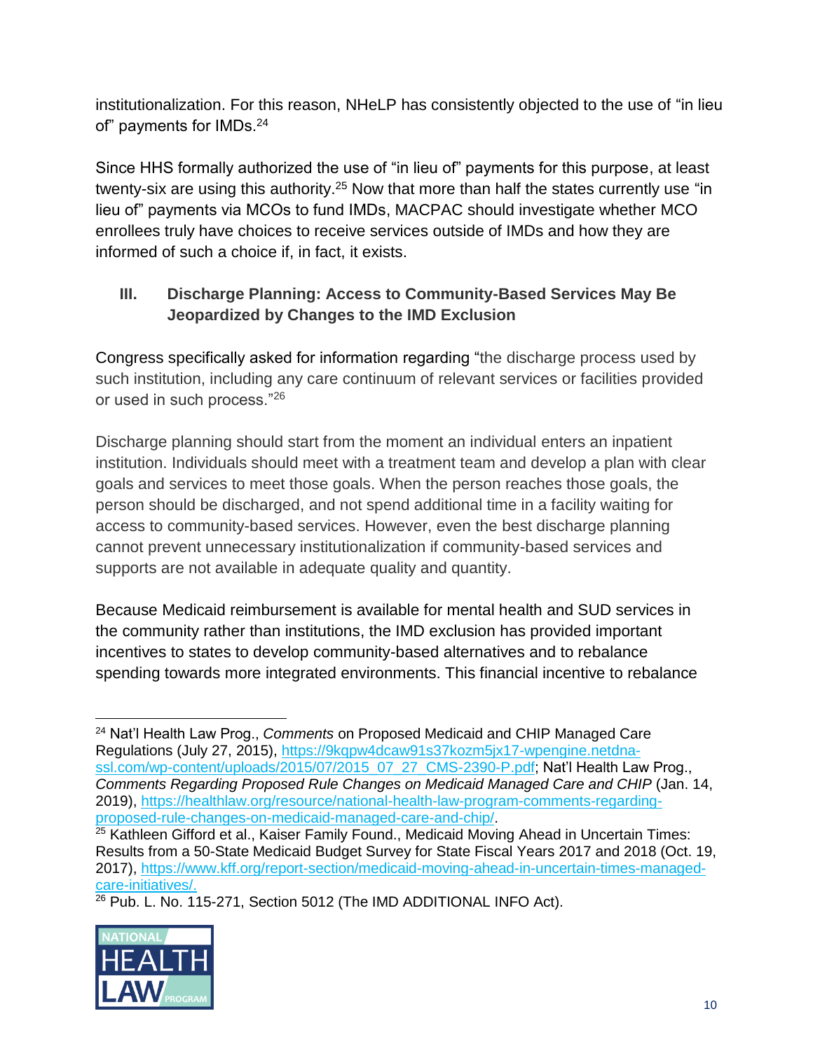institutionalization. For this reason, NHeLP has consistently objected to the use of "in lieu of" payments for IMDs.<sup>24</sup>

Since HHS formally authorized the use of "in lieu of" payments for this purpose, at least twenty-six are using this authority.<sup>25</sup> Now that more than half the states currently use "in lieu of" payments via MCOs to fund IMDs, MACPAC should investigate whether MCO enrollees truly have choices to receive services outside of IMDs and how they are informed of such a choice if, in fact, it exists.

# **III. Discharge Planning: Access to Community-Based Services May Be Jeopardized by Changes to the IMD Exclusion**

Congress specifically asked for information regarding "the discharge process used by such institution, including any care continuum of relevant services or facilities provided or used in such process."<sup>26</sup>

Discharge planning should start from the moment an individual enters an inpatient institution. Individuals should meet with a treatment team and develop a plan with clear goals and services to meet those goals. When the person reaches those goals, the person should be discharged, and not spend additional time in a facility waiting for access to community-based services. However, even the best discharge planning cannot prevent unnecessary institutionalization if community-based services and supports are not available in adequate quality and quantity.

Because Medicaid reimbursement is available for mental health and SUD services in the community rather than institutions, the IMD exclusion has provided important incentives to states to develop community-based alternatives and to rebalance spending towards more integrated environments. This financial incentive to rebalance

<sup>&</sup>lt;sup>26</sup> Pub. L. No. 115-271, Section 5012 (The IMD ADDITIONAL INFO Act).



 <sup>24</sup> Nat'l Health Law Prog., *Comments* on Proposed Medicaid and CHIP Managed Care Regulations (July 27, 2015), [https://9kqpw4dcaw91s37kozm5jx17-wpengine.netdna](https://9kqpw4dcaw91s37kozm5jx17-wpengine.netdna-ssl.com/wp-content/uploads/2015/07/2015_07_27_CMS-2390-P.pdf)[ssl.com/wp-content/uploads/2015/07/2015\\_07\\_27\\_CMS-2390-P.pdf;](https://9kqpw4dcaw91s37kozm5jx17-wpengine.netdna-ssl.com/wp-content/uploads/2015/07/2015_07_27_CMS-2390-P.pdf) Nat'l Health Law Prog., *Comments Regarding Proposed Rule Changes on Medicaid Managed Care and CHIP* (Jan. 14, 2019), [https://healthlaw.org/resource/national-health-law-program-comments-regarding](https://healthlaw.org/resource/national-health-law-program-comments-regarding-proposed-rule-changes-on-medicaid-managed-care-and-chip/)[proposed-rule-changes-on-medicaid-managed-care-and-chip/.](https://healthlaw.org/resource/national-health-law-program-comments-regarding-proposed-rule-changes-on-medicaid-managed-care-and-chip/)

<sup>&</sup>lt;sup>25</sup> Kathleen Gifford et al., Kaiser Family Found., Medicaid Moving Ahead in Uncertain Times: Results from a 50-State Medicaid Budget Survey for State Fiscal Years 2017 and 2018 (Oct. 19, 2017), [https://www.kff.org/report-section/medicaid-moving-ahead-in-uncertain-times-managed](https://www.kff.org/report-section/medicaid-moving-ahead-in-uncertain-times-managed-care-initiatives/)[care-initiatives/.](https://www.kff.org/report-section/medicaid-moving-ahead-in-uncertain-times-managed-care-initiatives/)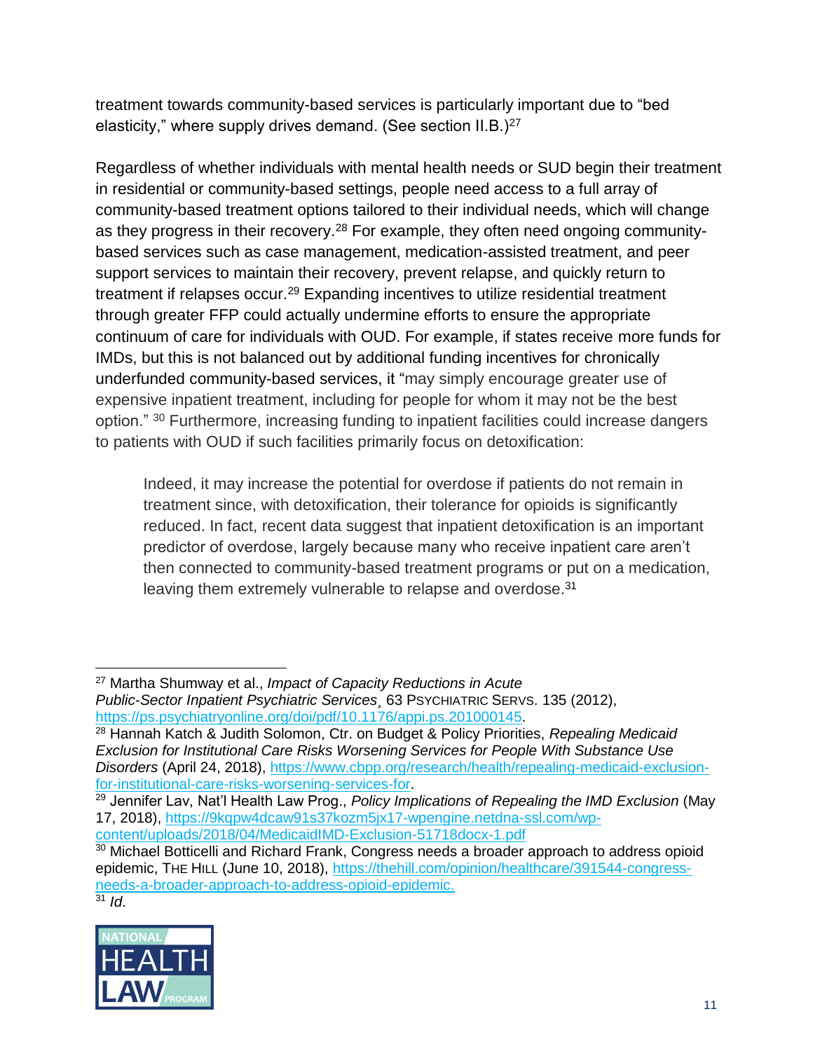treatment towards community-based services is particularly important due to "bed elasticity," where supply drives demand. (See section  $II.B.$ )<sup>27</sup>

Regardless of whether individuals with mental health needs or SUD begin their treatment in residential or community-based settings, people need access to a full array of community-based treatment options tailored to their individual needs, which will change as they progress in their recovery.<sup>28</sup> For example, they often need ongoing communitybased services such as case management, medication-assisted treatment, and peer support services to maintain their recovery, prevent relapse, and quickly return to treatment if relapses occur.<sup>29</sup> Expanding incentives to utilize residential treatment through greater FFP could actually undermine efforts to ensure the appropriate continuum of care for individuals with OUD. For example, if states receive more funds for IMDs, but this is not balanced out by additional funding incentives for chronically underfunded community-based services, it "may simply encourage greater use of expensive inpatient treatment, including for people for whom it may not be the best option." <sup>30</sup> Furthermore, increasing funding to inpatient facilities could increase dangers to patients with OUD if such facilities primarily focus on detoxification:

Indeed, it may increase the potential for overdose if patients do not remain in treatment since, with detoxification, their tolerance for opioids is significantly reduced. In fact, recent data suggest that inpatient detoxification is an important predictor of overdose, largely because many who receive inpatient care aren't then connected to community-based treatment programs or put on a medication, leaving them extremely vulnerable to relapse and overdose.<sup>31</sup>

 <sup>27</sup> Martha Shumway et al., *Impact of Capacity Reductions in Acute Public-Sector Inpatient Psychiatric Services¸* 63 PSYCHIATRIC SERVS. 135 (2012), [https://ps.psychiatryonline.org/doi/pdf/10.1176/appi.ps.201000145.](https://ps.psychiatryonline.org/doi/pdf/10.1176/appi.ps.201000145)

<sup>28</sup> Hannah Katch & Judith Solomon, Ctr. on Budget & Policy Priorities, *Repealing Medicaid Exclusion for Institutional Care Risks Worsening Services for People With Substance Use Disorders* (April 24, 2018), [https://www.cbpp.org/research/health/repealing-medicaid-exclusion](https://www.cbpp.org/research/health/repealing-medicaid-exclusion-for-institutional-care-risks-worsening-services-for)[for-institutional-care-risks-worsening-services-for.](https://www.cbpp.org/research/health/repealing-medicaid-exclusion-for-institutional-care-risks-worsening-services-for)

<sup>29</sup> Jennifer Lav, Nat'l Health Law Prog., *Policy Implications of Repealing the IMD Exclusion* (May 17, 2018), [https://9kqpw4dcaw91s37kozm5jx17-wpengine.netdna-ssl.com/wp](https://9kqpw4dcaw91s37kozm5jx17-wpengine.netdna-ssl.com/wp-content/uploads/2018/04/MedicaidIMD-Exclusion-51718docx-1.pdf)[content/uploads/2018/04/MedicaidIMD-Exclusion-51718docx-1.pdf](https://9kqpw4dcaw91s37kozm5jx17-wpengine.netdna-ssl.com/wp-content/uploads/2018/04/MedicaidIMD-Exclusion-51718docx-1.pdf)

 $30$  Michael Botticelli and Richard Frank, Congress needs a broader approach to address opioid epidemic, THE HILL (June 10, 2018), [https://thehill.com/opinion/healthcare/391544-congress](https://thehill.com/opinion/healthcare/391544-congress-needs-a-broader-approach-to-address-opioid-epidemic)[needs-a-broader-approach-to-address-opioid-epidemic.](https://thehill.com/opinion/healthcare/391544-congress-needs-a-broader-approach-to-address-opioid-epidemic)  $31$  *Id.*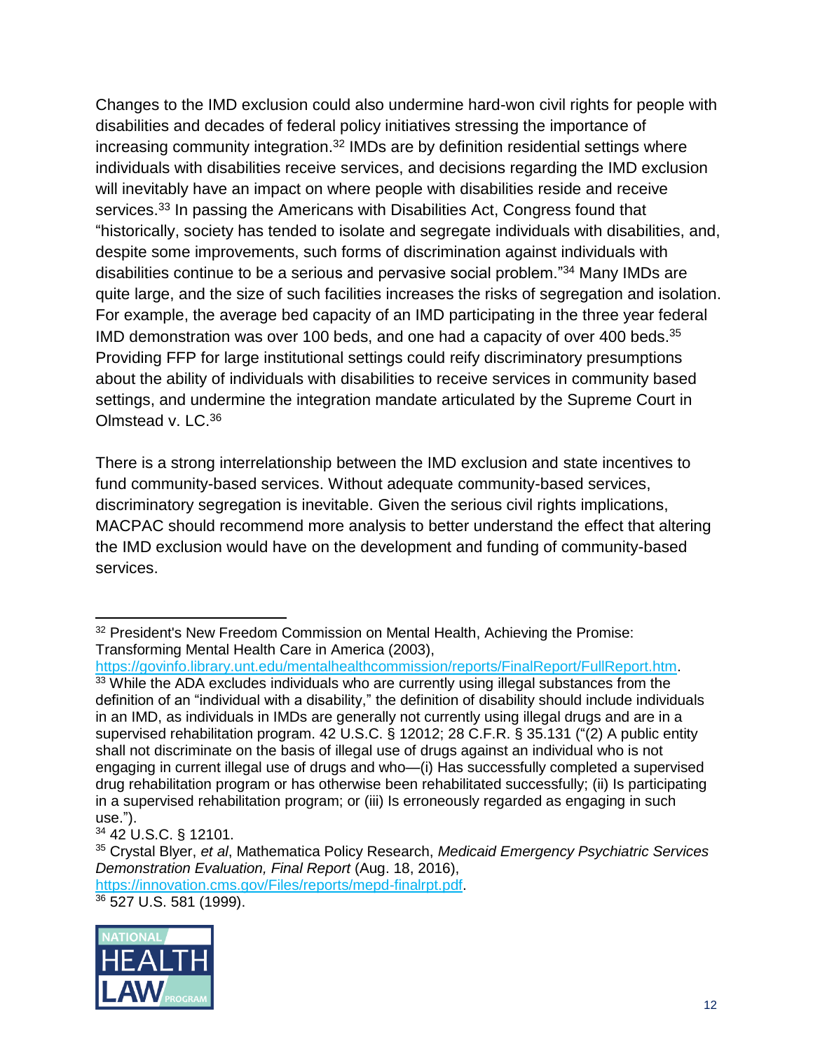Changes to the IMD exclusion could also undermine hard-won civil rights for people with disabilities and decades of federal policy initiatives stressing the importance of increasing community integration.<sup>32</sup> IMDs are by definition residential settings where individuals with disabilities receive services, and decisions regarding the IMD exclusion will inevitably have an impact on where people with disabilities reside and receive services.<sup>33</sup> In passing the Americans with Disabilities Act, Congress found that "historically, society has tended to isolate and segregate individuals with disabilities, and, despite some improvements, such forms of discrimination against individuals with disabilities continue to be a serious and pervasive social problem."<sup>34</sup> Many IMDs are quite large, and the size of such facilities increases the risks of segregation and isolation. For example, the average bed capacity of an IMD participating in the three year federal IMD demonstration was over 100 beds, and one had a capacity of over 400 beds.<sup>35</sup> Providing FFP for large institutional settings could reify discriminatory presumptions about the ability of individuals with disabilities to receive services in community based settings, and undermine the integration mandate articulated by the Supreme Court in Olmstead v. LC.<sup>36</sup>

There is a strong interrelationship between the IMD exclusion and state incentives to fund community-based services. Without adequate community-based services, discriminatory segregation is inevitable. Given the serious civil rights implications, MACPAC should recommend more analysis to better understand the effect that altering the IMD exclusion would have on the development and funding of community-based services.

[https://govinfo.library.unt.edu/mentalhealthcommission/reports/FinalReport/FullReport.htm.](https://govinfo.library.unt.edu/mentalhealthcommission/reports/FinalReport/FullReport.htm)  $33$  While the ADA excludes individuals who are currently using illegal substances from the definition of an "individual with a disability," the definition of disability should include individuals in an IMD, as individuals in IMDs are generally not currently using illegal drugs and are in a supervised rehabilitation program. 42 U.S.C. § 12012; 28 C.F.R. § 35.131 ("(2) A public entity shall not discriminate on the basis of illegal use of drugs against an individual who is not engaging in current illegal use of drugs and who—(i) Has successfully completed a supervised drug rehabilitation program or has otherwise been rehabilitated successfully; (ii) Is participating in a supervised rehabilitation program; or (iii) Is erroneously regarded as engaging in such use.").

[https://innovation.cms.gov/Files/reports/mepd-finalrpt.pdf.](https://innovation.cms.gov/Files/reports/mepd-finalrpt.pdf)

<sup>36</sup> 527 U.S. 581 (1999).



 $\overline{a}$ <sup>32</sup> President's New Freedom Commission on Mental Health, Achieving the Promise: Transforming Mental Health Care in America (2003),

<sup>34</sup> 42 U.S.C. § 12101.

<sup>35</sup> Crystal Blyer, *et al*, Mathematica Policy Research, *Medicaid Emergency Psychiatric Services Demonstration Evaluation, Final Report* (Aug. 18, 2016),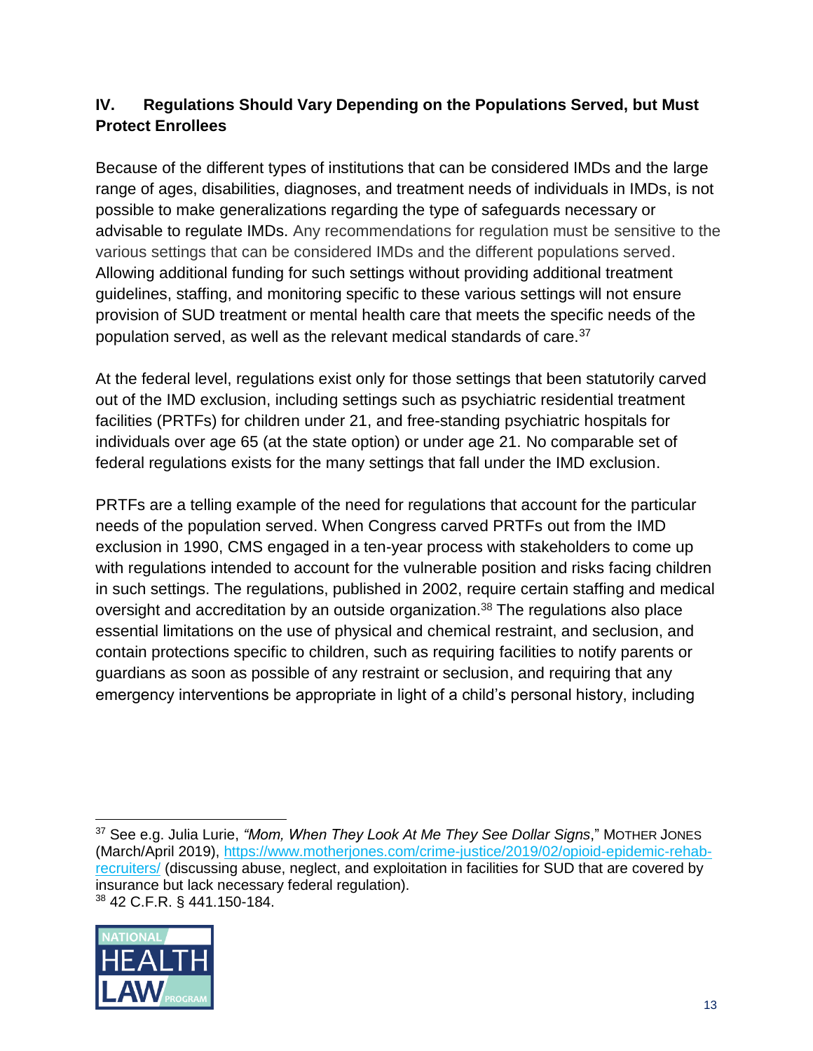# **IV. Regulations Should Vary Depending on the Populations Served, but Must Protect Enrollees**

Because of the different types of institutions that can be considered IMDs and the large range of ages, disabilities, diagnoses, and treatment needs of individuals in IMDs, is not possible to make generalizations regarding the type of safeguards necessary or advisable to regulate IMDs. Any recommendations for regulation must be sensitive to the various settings that can be considered IMDs and the different populations served. Allowing additional funding for such settings without providing additional treatment guidelines, staffing, and monitoring specific to these various settings will not ensure provision of SUD treatment or mental health care that meets the specific needs of the population served, as well as the relevant medical standards of care.<sup>37</sup>

At the federal level, regulations exist only for those settings that been statutorily carved out of the IMD exclusion, including settings such as psychiatric residential treatment facilities (PRTFs) for children under 21, and free-standing psychiatric hospitals for individuals over age 65 (at the state option) or under age 21. No comparable set of federal regulations exists for the many settings that fall under the IMD exclusion.

PRTFs are a telling example of the need for regulations that account for the particular needs of the population served. When Congress carved PRTFs out from the IMD exclusion in 1990, CMS engaged in a ten-year process with stakeholders to come up with regulations intended to account for the vulnerable position and risks facing children in such settings. The regulations, published in 2002, require certain staffing and medical oversight and accreditation by an outside organization.<sup>38</sup> The regulations also place essential limitations on the use of physical and chemical restraint, and seclusion, and contain protections specific to children, such as requiring facilities to notify parents or guardians as soon as possible of any restraint or seclusion, and requiring that any emergency interventions be appropriate in light of a child's personal history, including

<sup>37</sup> See e.g. Julia Lurie, *"Mom, When They Look At Me They See Dollar Signs*," MOTHER JONES (March/April 2019), [https://www.motherjones.com/crime-justice/2019/02/opioid-epidemic-rehab](https://www.motherjones.com/crime-justice/2019/02/opioid-epidemic-rehab-recruiters/)[recruiters/](https://www.motherjones.com/crime-justice/2019/02/opioid-epidemic-rehab-recruiters/) (discussing abuse, neglect, and exploitation in facilities for SUD that are covered by insurance but lack necessary federal regulation). <sup>38</sup> 42 C.F.R. § 441.150-184.



 $\overline{a}$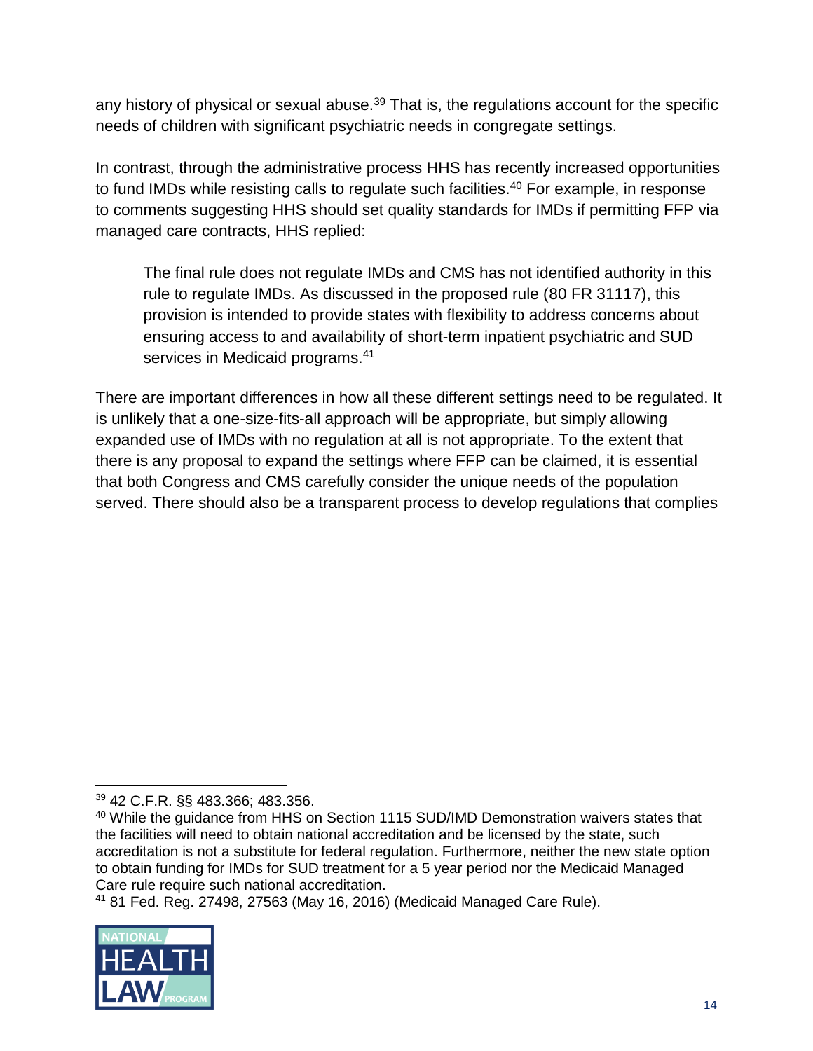any history of physical or sexual abuse.<sup>39</sup> That is, the regulations account for the specific needs of children with significant psychiatric needs in congregate settings.

In contrast, through the administrative process HHS has recently increased opportunities to fund IMDs while resisting calls to regulate such facilities.<sup>40</sup> For example, in response to comments suggesting HHS should set quality standards for IMDs if permitting FFP via managed care contracts, HHS replied:

The final rule does not regulate IMDs and CMS has not identified authority in this rule to regulate IMDs. As discussed in the proposed rule [\(80 FR 31117\)](https://www.federalregister.gov/citation/80-FR-31117), this provision is intended to provide states with flexibility to address concerns about ensuring access to and availability of short-term inpatient psychiatric and SUD services in Medicaid programs.<sup>41</sup>

There are important differences in how all these different settings need to be regulated. It is unlikely that a one-size-fits-all approach will be appropriate, but simply allowing expanded use of IMDs with no regulation at all is not appropriate. To the extent that there is any proposal to expand the settings where FFP can be claimed, it is essential that both Congress and CMS carefully consider the unique needs of the population served. There should also be a transparent process to develop regulations that complies

<sup>41</sup> 81 Fed. Reg. 27498, 27563 (May 16, 2016) (Medicaid Managed Care Rule).



<sup>39</sup> 42 C.F.R. §§ 483.366; 483.356.

<sup>&</sup>lt;sup>40</sup> While the guidance from HHS on Section 1115 SUD/IMD Demonstration waivers states that the facilities will need to obtain national accreditation and be licensed by the state, such accreditation is not a substitute for federal regulation. Furthermore, neither the new state option to obtain funding for IMDs for SUD treatment for a 5 year period nor the Medicaid Managed Care rule require such national accreditation.